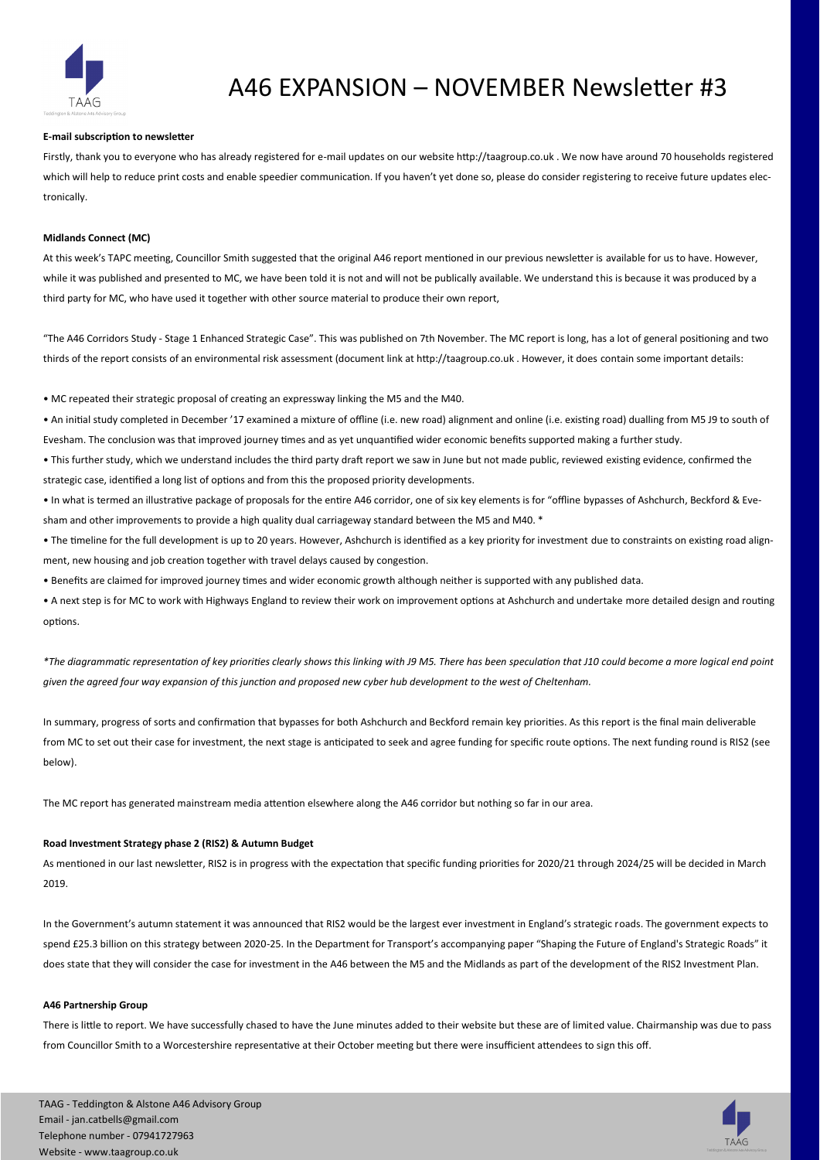

# A46 EXPANSION – NOVEMBER Newsletter #3

## **E-mail subscription to newsletter**

Firstly, thank you to everyone who has already registered for e-mail updates on our website http://taagroup.co.uk . We now have around 70 households registered which will help to reduce print costs and enable speedier communication. If you haven't yet done so, please do consider registering to receive future updates electronically.

#### **Midlands Connect (MC)**

At this week's TAPC meeting, Councillor Smith suggested that the original A46 report mentioned in our previous newsletter is available for us to have. However, while it was published and presented to MC, we have been told it is not and will not be publically available. We understand this is because it was produced by a third party for MC, who have used it together with other source material to produce their own report,

"The A46 Corridors Study - Stage 1 Enhanced Strategic Case". This was published on 7th November. The MC report is long, has a lot of general positioning and two thirds of the report consists of an environmental risk assessment (document link at http://taagroup.co.uk . However, it does contain some important details:

• MC repeated their strategic proposal of creating an expressway linking the M5 and the M40.

• An initial study completed in December '17 examined a mixture of offline (i.e. new road) alignment and online (i.e. existing road) dualling from M5 J9 to south of Evesham. The conclusion was that improved journey times and as yet unquantified wider economic benefits supported making a further study.

• This further study, which we understand includes the third party draft report we saw in June but not made public, reviewed existing evidence, confirmed the strategic case, identified a long list of options and from this the proposed priority developments.

• In what is termed an illustrative package of proposals for the entire A46 corridor, one of six key elements is for "offline bypasses of Ashchurch, Beckford & Evesham and other improvements to provide a high quality dual carriageway standard between the M5 and M40. \*

• The timeline for the full development is up to 20 years. However, Ashchurch is identified as a key priority for investment due to constraints on existing road alignment, new housing and job creation together with travel delays caused by congestion.

• Benefits are claimed for improved journey times and wider economic growth although neither is supported with any published data.

• A next step is for MC to work with Highways England to review their work on improvement options at Ashchurch and undertake more detailed design and routing options.

*\*The diagrammatic representation of key priorities clearly shows this linking with J9 M5. There has been speculation that J10 could become a more logical end point given the agreed four way expansion of this junction and proposed new cyber hub development to the west of Cheltenham.* 

In summary, progress of sorts and confirmation that bypasses for both Ashchurch and Beckford remain key priorities. As this report is the final main deliverable from MC to set out their case for investment, the next stage is anticipated to seek and agree funding for specific route options. The next funding round is RIS2 (see below).

The MC report has generated mainstream media attention elsewhere along the A46 corridor but nothing so far in our area.

## **Road Investment Strategy phase 2 (RIS2) & Autumn Budget**

As mentioned in our last newsletter, RIS2 is in progress with the expectation that specific funding priorities for 2020/21 through 2024/25 will be decided in March 2019.

In the Government's autumn statement it was announced that RIS2 would be the largest ever investment in England's strategic roads. The government expects to spend £25.3 billion on this strategy between 2020-25. In the Department for Transport's accompanying paper "Shaping the Future of England's Strategic Roads" it does state that they will consider the case for investment in the A46 between the M5 and the Midlands as part of the development of the RIS2 Investment Plan.

### **A46 Partnership Group**

There is little to report. We have successfully chased to have the June minutes added to their website but these are of limited value. Chairmanship was due to pass from Councillor Smith to a Worcestershire representative at their October meeting but there were insufficient attendees to sign this off.

TAAG - Teddington & Alstone A46 Advisory Group Email - jan.catbells@gmail.com Telephone number - 07941727963 Website - www.taagroup.co.uk